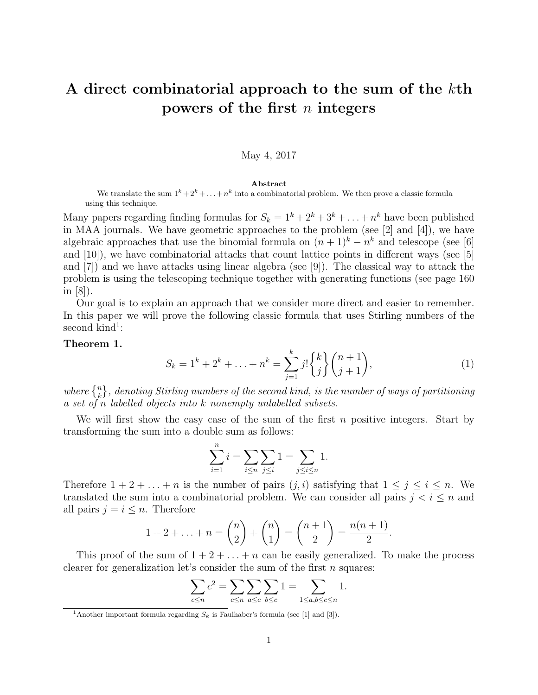# A direct combinatorial approach to the sum of the kth powers of the first  $n$  integers

## May 4, 2017

#### Abstract

We translate the sum  $1^k+2^k+\ldots+n^k$  into a combinatorial problem. We then prove a classic formula using this technique.

Many papers regarding finding formulas for  $S_k = 1^k + 2^k + 3^k + \ldots + n^k$  have been published in MAA journals. We have geometric approaches to the problem (see [2] and [4]), we have algebraic approaches that use the binomial formula on  $(n+1)^k - n^k$  and telescope (see [6] and [10]), we have combinatorial attacks that count lattice points in different ways (see [5] and [7]) and we have attacks using linear algebra (see [9]). The classical way to attack the problem is using the telescoping technique together with generating functions (see page 160 in  $|8|$ ).

Our goal is to explain an approach that we consider more direct and easier to remember. In this paper we will prove the following classic formula that uses Stirling numbers of the  $second$  kind<sup>1</sup>:

#### Theorem 1.

$$
S_k = 1^k + 2^k + \ldots + n^k = \sum_{j=1}^k j! \binom{k}{j} \binom{n+1}{j+1},\tag{1}
$$

where  $\{n\}\ \hbox{\emph{is}th}$ , denoting Stirling numbers of the second kind, is the number of ways of partitioning a set of n labelled objects into k nonempty unlabelled subsets.

We will first show the easy case of the sum of the first  $n$  positive integers. Start by transforming the sum into a double sum as follows:

$$
\sum_{i=1}^{n} i = \sum_{i \le n} \sum_{j \le i} 1 = \sum_{j \le i \le n} 1.
$$

Therefore  $1 + 2 + \ldots + n$  is the number of pairs  $(j, i)$  satisfying that  $1 \leq j \leq i \leq n$ . We translated the sum into a combinatorial problem. We can consider all pairs  $j < i \leq n$  and all pairs  $j = i \leq n$ . Therefore

$$
1 + 2 + \ldots + n = \binom{n}{2} + \binom{n}{1} = \binom{n+1}{2} = \frac{n(n+1)}{2}.
$$

This proof of the sum of  $1 + 2 + \ldots + n$  can be easily generalized. To make the process clearer for generalization let's consider the sum of the first  $n$  squares:

$$
\sum_{c \le n} c^2 = \sum_{c \le n} \sum_{a \le c} \sum_{b \le c} 1 = \sum_{1 \le a, b \le c \le n} 1.
$$

<sup>&</sup>lt;sup>1</sup>Another important formula regarding  $S_k$  is Faulhaber's formula (see [1] and [3]).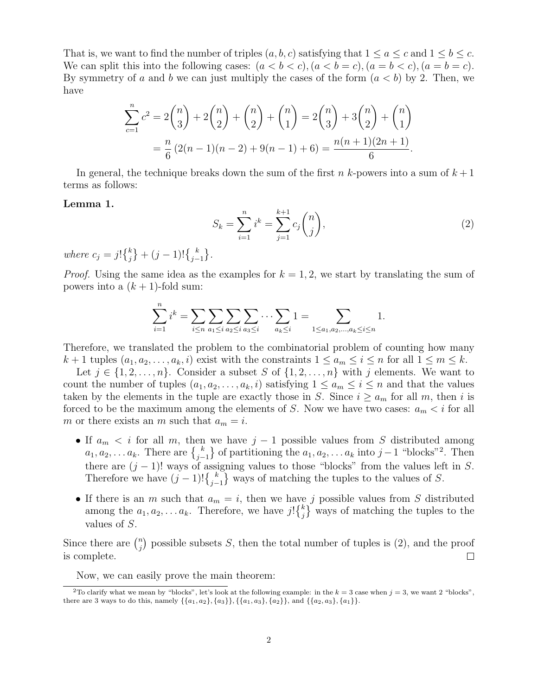That is, we want to find the number of triples  $(a, b, c)$  satisfying that  $1 \le a \le c$  and  $1 \le b \le c$ . We can split this into the following cases:  $(a < b < c), (a < b = c), (a = b < c), (a = b = c)$ . By symmetry of a and b we can just multiply the cases of the form  $(a < b)$  by 2. Then, we have

$$
\sum_{c=1}^{n} c^{2} = 2\binom{n}{3} + 2\binom{n}{2} + \binom{n}{2} + \binom{n}{1} = 2\binom{n}{3} + 3\binom{n}{2} + \binom{n}{1} = \frac{n}{6}(2(n-1)(n-2) + 9(n-1) + 6) = \frac{n(n+1)(2n+1)}{6}.
$$

In general, the technique breaks down the sum of the first n k-powers into a sum of  $k+1$ terms as follows:

### Lemma 1.

$$
S_k = \sum_{i=1}^n i^k = \sum_{j=1}^{k+1} c_j \binom{n}{j},\tag{2}
$$

where  $c_j = j! \{^k_j\} + (j-1)! \{^k_{j-1}\}.$ 

*Proof.* Using the same idea as the examples for  $k = 1, 2$ , we start by translating the sum of powers into a  $(k + 1)$ -fold sum:

$$
\sum_{i=1}^{n} i^{k} = \sum_{i \leq n} \sum_{a_1 \leq i} \sum_{a_2 \leq i} \sum_{a_3 \leq i} \cdots \sum_{a_k \leq i} 1 = \sum_{1 \leq a_1, a_2, \dots, a_k \leq i \leq n} 1.
$$

Therefore, we translated the problem to the combinatorial problem of counting how many  $k+1$  tuples  $(a_1, a_2, \ldots, a_k, i)$  exist with the constraints  $1 \le a_m \le i \le n$  for all  $1 \le m \le k$ .

Let  $j \in \{1, 2, \ldots, n\}$ . Consider a subset S of  $\{1, 2, \ldots, n\}$  with j elements. We want to count the number of tuples  $(a_1, a_2, \ldots, a_k, i)$  satisfying  $1 \le a_m \le i \le n$  and that the values taken by the elements in the tuple are exactly those in S. Since  $i \ge a_m$  for all m, then i is forced to be the maximum among the elements of S. Now we have two cases:  $a_m < i$  for all m or there exists an m such that  $a_m = i$ .

- If  $a_m < i$  for all m, then we have  $j 1$  possible values from S distributed among  $a_1, a_2, \ldots a_k$ . There are  $\{k \atop j-1}$  of partitioning the  $a_1, a_2, \ldots a_k$  into  $j-1$  "blocks"<sup>2</sup>. Then there are  $(j - 1)!$  ways of assigning values to those "blocks" from the values left in S. Therefore we have  $(j-1)!{k \choose j-1}$  ways of matching the tuples to the values of S.
- If there is an m such that  $a_m = i$ , then we have j possible values from S distributed among the  $a_1, a_2, \ldots a_k$ . Therefore, we have  $j! \binom{k}{j}$  ways of matching the tuples to the values of S.

Since there are  $\binom{n}{i}$  $j$ ) possible subsets S, then the total number of tuples is (2), and the proof is complete.  $\Box$ 

Now, we can easily prove the main theorem:

<sup>&</sup>lt;sup>2</sup>To clarify what we mean by "blocks", let's look at the following example: in the  $k = 3$  case when  $j = 3$ , we want 2 "blocks", there are 3 ways to do this, namely  $\{\{a_1, a_2\}, \{a_3\}\}, \{\{a_1, a_3\}, \{a_2\}\},$  and  $\{\{a_2, a_3\}, \{a_1\}\}.$